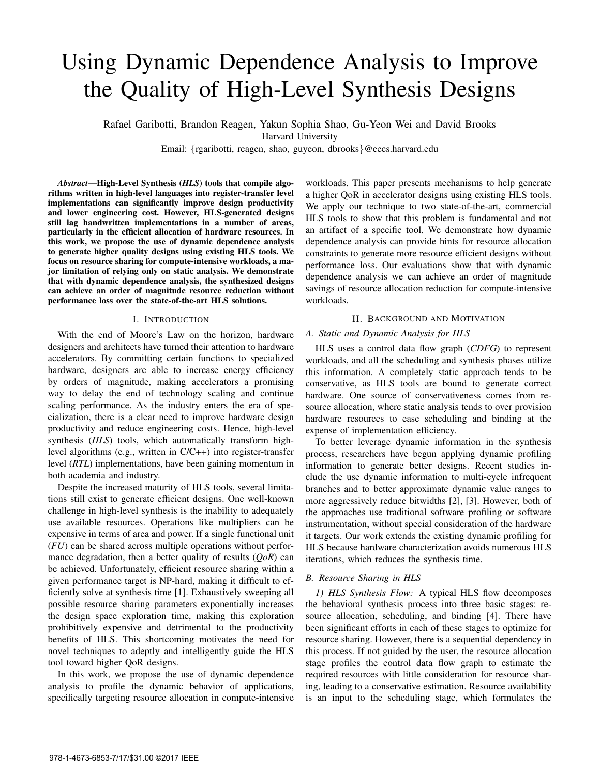# Using Dynamic Dependence Analysis to Improve the Quality of High-Level Synthesis Designs

Rafael Garibotti, Brandon Reagen, Yakun Sophia Shao, Gu-Yeon Wei and David Brooks

Harvard University

Email: {rgaribotti, reagen, shao, guyeon, dbrooks}@eecs.harvard.edu

*Abstract*—High-Level Synthesis (*HLS*) tools that compile algorithms written in high-level languages into register-transfer level implementations can significantly improve design productivity and lower engineering cost. However, HLS-generated designs still lag handwritten implementations in a number of areas, particularly in the efficient allocation of hardware resources. In this work, we propose the use of dynamic dependence analysis to generate higher quality designs using existing HLS tools. We focus on resource sharing for compute-intensive workloads, a major limitation of relying only on static analysis. We demonstrate that with dynamic dependence analysis, the synthesized designs can achieve an order of magnitude resource reduction without performance loss over the state-of-the-art HLS solutions.

#### I. INTRODUCTION

With the end of Moore's Law on the horizon, hardware designers and architects have turned their attention to hardware accelerators. By committing certain functions to specialized hardware, designers are able to increase energy efficiency by orders of magnitude, making accelerators a promising way to delay the end of technology scaling and continue scaling performance. As the industry enters the era of specialization, there is a clear need to improve hardware design productivity and reduce engineering costs. Hence, high-level synthesis (*HLS*) tools, which automatically transform highlevel algorithms (e.g., written in C/C++) into register-transfer level (*RTL*) implementations, have been gaining momentum in both academia and industry.

Despite the increased maturity of HLS tools, several limitations still exist to generate efficient designs. One well-known challenge in high-level synthesis is the inability to adequately use available resources. Operations like multipliers can be expensive in terms of area and power. If a single functional unit (*FU*) can be shared across multiple operations without performance degradation, then a better quality of results (*QoR*) can be achieved. Unfortunately, efficient resource sharing within a given performance target is NP-hard, making it difficult to efficiently solve at synthesis time [1]. Exhaustively sweeping all possible resource sharing parameters exponentially increases the design space exploration time, making this exploration prohibitively expensive and detrimental to the productivity benefits of HLS. This shortcoming motivates the need for novel techniques to adeptly and intelligently guide the HLS tool toward higher QoR designs.

In this work, we propose the use of dynamic dependence analysis to profile the dynamic behavior of applications, specifically targeting resource allocation in compute-intensive workloads. This paper presents mechanisms to help generate a higher QoR in accelerator designs using existing HLS tools. We apply our technique to two state-of-the-art, commercial HLS tools to show that this problem is fundamental and not an artifact of a specific tool. We demonstrate how dynamic dependence analysis can provide hints for resource allocation constraints to generate more resource efficient designs without performance loss. Our evaluations show that with dynamic dependence analysis we can achieve an order of magnitude savings of resource allocation reduction for compute-intensive workloads.

#### II. BACKGROUND AND MOTIVATION

## *A. Static and Dynamic Analysis for HLS*

HLS uses a control data flow graph (*CDFG*) to represent workloads, and all the scheduling and synthesis phases utilize this information. A completely static approach tends to be conservative, as HLS tools are bound to generate correct hardware. One source of conservativeness comes from resource allocation, where static analysis tends to over provision hardware resources to ease scheduling and binding at the expense of implementation efficiency.

To better leverage dynamic information in the synthesis process, researchers have begun applying dynamic profiling information to generate better designs. Recent studies include the use dynamic information to multi-cycle infrequent branches and to better approximate dynamic value ranges to more aggressively reduce bitwidths [2], [3]. However, both of the approaches use traditional software profiling or software instrumentation, without special consideration of the hardware it targets. Our work extends the existing dynamic profiling for HLS because hardware characterization avoids numerous HLS iterations, which reduces the synthesis time.

#### *B. Resource Sharing in HLS*

*1) HLS Synthesis Flow:* A typical HLS flow decomposes the behavioral synthesis process into three basic stages: resource allocation, scheduling, and binding [4]. There have been significant efforts in each of these stages to optimize for resource sharing. However, there is a sequential dependency in this process. If not guided by the user, the resource allocation stage profiles the control data flow graph to estimate the required resources with little consideration for resource sharing, leading to a conservative estimation. Resource availability is an input to the scheduling stage, which formulates the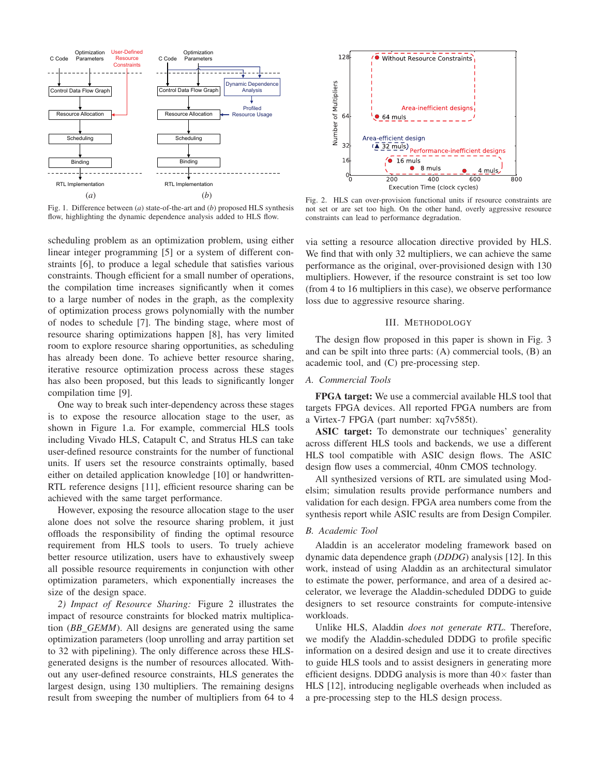

Fig. 1. Difference between (*a*) state-of-the-art and (*b*) proposed HLS synthesis flow, highlighting the dynamic dependence analysis added to HLS flow.

scheduling problem as an optimization problem, using either linear integer programming [5] or a system of different constraints [6], to produce a legal schedule that satisfies various constraints. Though efficient for a small number of operations, the compilation time increases significantly when it comes to a large number of nodes in the graph, as the complexity of optimization process grows polynomially with the number of nodes to schedule [7]. The binding stage, where most of resource sharing optimizations happen [8], has very limited room to explore resource sharing opportunities, as scheduling has already been done. To achieve better resource sharing, iterative resource optimization process across these stages has also been proposed, but this leads to significantly longer compilation time [9].

One way to break such inter-dependency across these stages is to expose the resource allocation stage to the user, as shown in Figure 1.a. For example, commercial HLS tools including Vivado HLS, Catapult C, and Stratus HLS can take user-defined resource constraints for the number of functional units. If users set the resource constraints optimally, based either on detailed application knowledge [10] or handwritten-RTL reference designs [11], efficient resource sharing can be achieved with the same target performance.

However, exposing the resource allocation stage to the user alone does not solve the resource sharing problem, it just offloads the responsibility of finding the optimal resource requirement from HLS tools to users. To truely achieve better resource utilization, users have to exhaustively sweep all possible resource requirements in conjunction with other optimization parameters, which exponentially increases the size of the design space.

*2) Impact of Resource Sharing:* Figure 2 illustrates the impact of resource constraints for blocked matrix multiplication (*BB GEMM*). All designs are generated using the same optimization parameters (loop unrolling and array partition set to 32 with pipelining). The only difference across these HLSgenerated designs is the number of resources allocated. Without any user-defined resource constraints, HLS generates the largest design, using 130 multipliers. The remaining designs result from sweeping the number of multipliers from 64 to 4



Fig. 2. HLS can over-provision functional units if resource constraints are not set or are set too high. On the other hand, overly aggressive resource constraints can lead to performance degradation.

via setting a resource allocation directive provided by HLS. We find that with only 32 multipliers, we can achieve the same performance as the original, over-provisioned design with 130 multipliers. However, if the resource constraint is set too low (from 4 to 16 multipliers in this case), we observe performance loss due to aggressive resource sharing.

#### III. METHODOLOGY

The design flow proposed in this paper is shown in Fig. 3 and can be spilt into three parts: (A) commercial tools, (B) an academic tool, and (C) pre-processing step.

## *A. Commercial Tools*

FPGA target: We use a commercial available HLS tool that targets FPGA devices. All reported FPGA numbers are from a Virtex-7 FPGA (part number: xq7v585t).

ASIC target: To demonstrate our techniques' generality across different HLS tools and backends, we use a different HLS tool compatible with ASIC design flows. The ASIC design flow uses a commercial, 40nm CMOS technology.

All synthesized versions of RTL are simulated using Modelsim; simulation results provide performance numbers and validation for each design. FPGA area numbers come from the synthesis report while ASIC results are from Design Compiler.

#### *B. Academic Tool*

Aladdin is an accelerator modeling framework based on dynamic data dependence graph (*DDDG*) analysis [12]. In this work, instead of using Aladdin as an architectural simulator to estimate the power, performance, and area of a desired accelerator, we leverage the Aladdin-scheduled DDDG to guide designers to set resource constraints for compute-intensive workloads.

Unlike HLS, Aladdin *does not generate RTL*. Therefore, we modify the Aladdin-scheduled DDDG to profile specific information on a desired design and use it to create directives to guide HLS tools and to assist designers in generating more efficient designs. DDDG analysis is more than  $40\times$  faster than HLS [12], introducing negligable overheads when included as a pre-processing step to the HLS design process.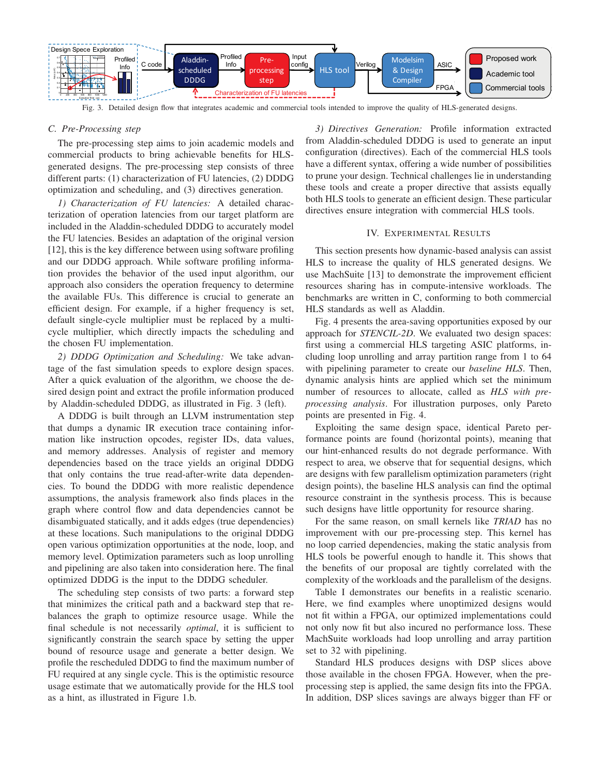

Fig. 3. Detailed design flow that integrates academic and commercial tools intended to improve the quality of HLS-generated designs.

### *C. Pre-Processing step*

The pre-processing step aims to join academic models and commercial products to bring achievable benefits for HLSgenerated designs. The pre-processing step consists of three different parts: (1) characterization of FU latencies, (2) DDDG optimization and scheduling, and (3) directives generation.

*1) Characterization of FU latencies:* A detailed characterization of operation latencies from our target platform are included in the Aladdin-scheduled DDDG to accurately model the FU latencies. Besides an adaptation of the original version [12], this is the key difference between using software profiling and our DDDG approach. While software profiling information provides the behavior of the used input algorithm, our approach also considers the operation frequency to determine the available FUs. This difference is crucial to generate an efficient design. For example, if a higher frequency is set, default single-cycle multiplier must be replaced by a multicycle multiplier, which directly impacts the scheduling and the chosen FU implementation.

*2) DDDG Optimization and Scheduling:* We take advantage of the fast simulation speeds to explore design spaces. After a quick evaluation of the algorithm, we choose the desired design point and extract the profile information produced by Aladdin-scheduled DDDG, as illustrated in Fig. 3 (left).

A DDDG is built through an LLVM instrumentation step that dumps a dynamic IR execution trace containing information like instruction opcodes, register IDs, data values, and memory addresses. Analysis of register and memory dependencies based on the trace yields an original DDDG that only contains the true read-after-write data dependencies. To bound the DDDG with more realistic dependence assumptions, the analysis framework also finds places in the graph where control flow and data dependencies cannot be disambiguated statically, and it adds edges (true dependencies) at these locations. Such manipulations to the original DDDG open various optimization opportunities at the node, loop, and memory level. Optimization parameters such as loop unrolling and pipelining are also taken into consideration here. The final optimized DDDG is the input to the DDDG scheduler.

The scheduling step consists of two parts: a forward step that minimizes the critical path and a backward step that rebalances the graph to optimize resource usage. While the final schedule is not necessarily *optimal*, it is sufficient to significantly constrain the search space by setting the upper bound of resource usage and generate a better design. We profile the rescheduled DDDG to find the maximum number of FU required at any single cycle. This is the optimistic resource usage estimate that we automatically provide for the HLS tool as a hint, as illustrated in Figure 1.b.

*3) Directives Generation:* Profile information extracted from Aladdin-scheduled DDDG is used to generate an input configuration (directives). Each of the commercial HLS tools have a different syntax, offering a wide number of possibilities to prune your design. Technical challenges lie in understanding these tools and create a proper directive that assists equally both HLS tools to generate an efficient design. These particular directives ensure integration with commercial HLS tools.

#### IV. EXPERIMENTAL RESULTS

This section presents how dynamic-based analysis can assist HLS to increase the quality of HLS generated designs. We use MachSuite [13] to demonstrate the improvement efficient resources sharing has in compute-intensive workloads. The benchmarks are written in C, conforming to both commercial HLS standards as well as Aladdin.

Fig. 4 presents the area-saving opportunities exposed by our approach for *STENCIL-2D*. We evaluated two design spaces: first using a commercial HLS targeting ASIC platforms, including loop unrolling and array partition range from 1 to 64 with pipelining parameter to create our *baseline HLS*. Then, dynamic analysis hints are applied which set the minimum number of resources to allocate, called as *HLS with preprocessing analysis*. For illustration purposes, only Pareto points are presented in Fig. 4.

Exploiting the same design space, identical Pareto performance points are found (horizontal points), meaning that our hint-enhanced results do not degrade performance. With respect to area, we observe that for sequential designs, which are designs with few parallelism optimization parameters (right design points), the baseline HLS analysis can find the optimal resource constraint in the synthesis process. This is because such designs have little opportunity for resource sharing.

For the same reason, on small kernels like *TRIAD* has no improvement with our pre-processing step. This kernel has no loop carried dependencies, making the static analysis from HLS tools be powerful enough to handle it. This shows that the benefits of our proposal are tightly correlated with the complexity of the workloads and the parallelism of the designs.

Table I demonstrates our benefits in a realistic scenario. Here, we find examples where unoptimized designs would not fit within a FPGA, our optimized implementations could not only now fit but also incured no performance loss. These MachSuite workloads had loop unrolling and array partition set to 32 with pipelining.

Standard HLS produces designs with DSP slices above those available in the chosen FPGA. However, when the preprocessing step is applied, the same design fits into the FPGA. In addition, DSP slices savings are always bigger than FF or